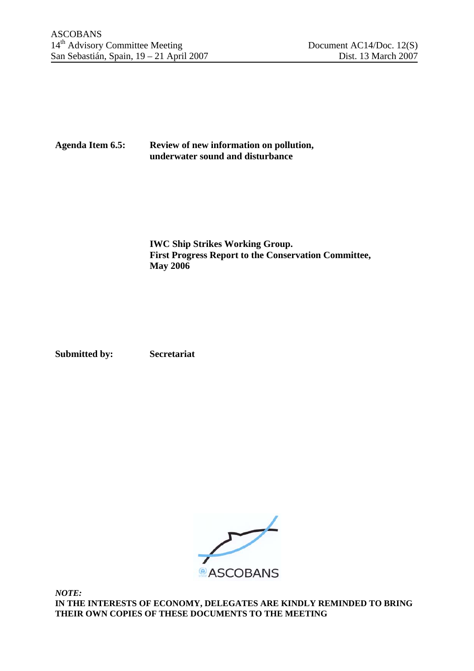## **Agenda Item 6.5: Review of new information on pollution, underwater sound and disturbance**

**IWC Ship Strikes Working Group. First Progress Report to the Conservation Committee, May 2006** 

**Submitted by: Secretariat** 



*NOTE:*  **IN THE INTERESTS OF ECONOMY, DELEGATES ARE KINDLY REMINDED TO BRING THEIR OWN COPIES OF THESE DOCUMENTS TO THE MEETING**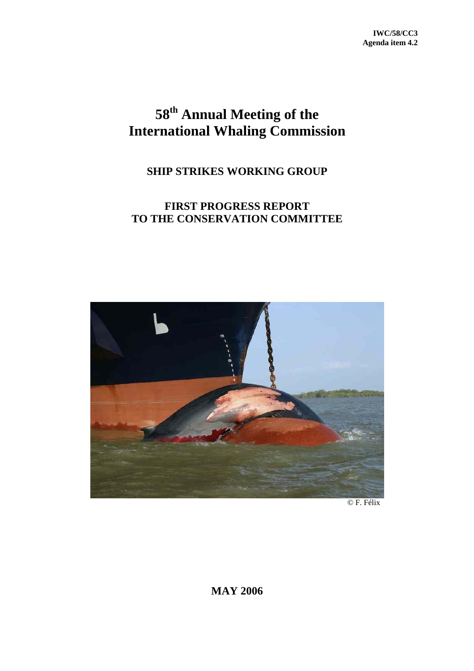# **58th Annual Meeting of the International Whaling Commission**

## **SHIP STRIKES WORKING GROUP**

## **FIRST PROGRESS REPORT TO THE CONSERVATION COMMITTEE**



© F. Félix

**MAY 2006**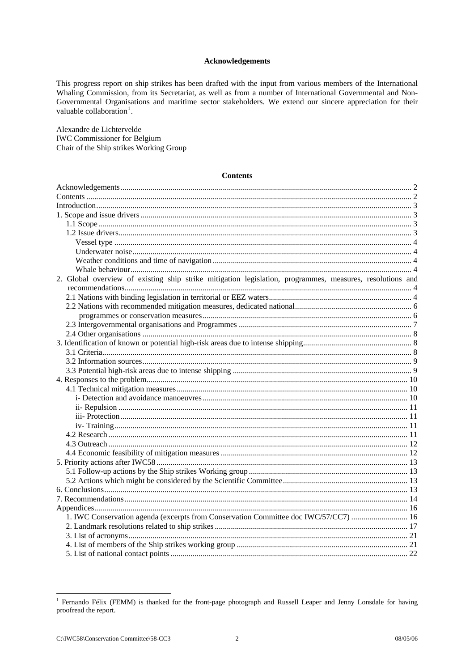## Acknowledgements

<span id="page-3-1"></span>This progress report on ship strikes has been drafted with the input from various members of the International Whaling Commission, from its Secretariat, as well as from a number of International Governmental and Non-Governmental Organisations and maritime sector stakeholders. We extend our sincere appreciation for their valuable collaboration<sup>1</sup>.

Alexandre de Lichtervelde **IWC** Commissioner for Belgium Chair of the Ship strikes Working Group

#### **Contents**

| 2. Global overview of existing ship strike mitigation legislation, programmes, measures, resolutions and |  |
|----------------------------------------------------------------------------------------------------------|--|
|                                                                                                          |  |
|                                                                                                          |  |
|                                                                                                          |  |
|                                                                                                          |  |
|                                                                                                          |  |
|                                                                                                          |  |
|                                                                                                          |  |
|                                                                                                          |  |
|                                                                                                          |  |
|                                                                                                          |  |
|                                                                                                          |  |
|                                                                                                          |  |
|                                                                                                          |  |
|                                                                                                          |  |
|                                                                                                          |  |
|                                                                                                          |  |
|                                                                                                          |  |
|                                                                                                          |  |
|                                                                                                          |  |
|                                                                                                          |  |
|                                                                                                          |  |
|                                                                                                          |  |
|                                                                                                          |  |
|                                                                                                          |  |
|                                                                                                          |  |
| 1. IWC Conservation agenda (excerpts from Conservation Committee doc IWC/57/CC7)  16                     |  |
|                                                                                                          |  |
|                                                                                                          |  |
|                                                                                                          |  |
|                                                                                                          |  |

<span id="page-3-0"></span><sup>&</sup>lt;sup>1</sup> Fernando Félix (FEMM) is thanked for the front-page photograph and Russell Leaper and Jenny Lonsdale for having proofread the report.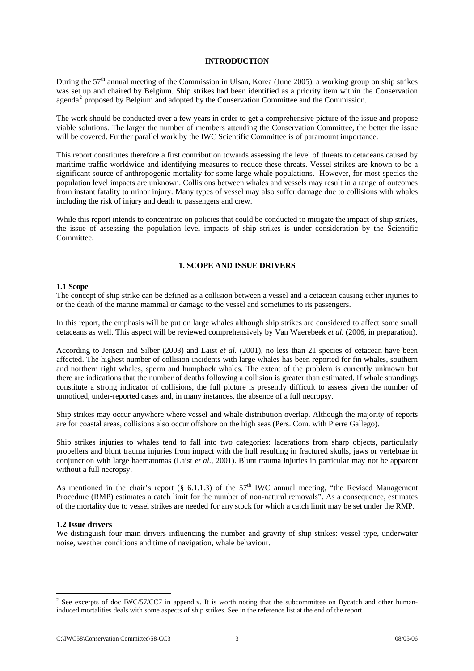### **INTRODUCTION**

<span id="page-4-0"></span>During the 57<sup>th</sup> annual meeting of the Commission in Ulsan, Korea (June 2005), a working group on ship strikes was set up and chaired by Belgium. Ship strikes had been identified as a priority item within the Conservation agenda<sup>[2](#page-4-1)</sup> proposed by Belgium and adopted by the Conservation Committee and the Commission.

The work should be conducted over a few years in order to get a comprehensive picture of the issue and propose viable solutions. The larger the number of members attending the Conservation Committee, the better the issue will be covered. Further parallel work by the IWC Scientific Committee is of paramount importance.

This report constitutes therefore a first contribution towards assessing the level of threats to cetaceans caused by maritime traffic worldwide and identifying measures to reduce these threats. Vessel strikes are known to be a significant source of anthropogenic mortality for some large whale populations. However, for most species the population level impacts are unknown. Collisions between whales and vessels may result in a range of outcomes from instant fatality to minor injury. Many types of vessel may also suffer damage due to collisions with whales including the risk of injury and death to passengers and crew.

While this report intends to concentrate on policies that could be conducted to mitigate the impact of ship strikes, the issue of assessing the population level impacts of ship strikes is under consideration by the Scientific Committee.

## **1. SCOPE AND ISSUE DRIVERS**

## **1.1 Scope**

The concept of ship strike can be defined as a collision between a vessel and a cetacean causing either injuries to or the death of the marine mammal or damage to the vessel and sometimes to its passengers.

In this report, the emphasis will be put on large whales although ship strikes are considered to affect some small cetaceans as well. This aspect will be reviewed comprehensively by Van Waerebeek *et al.* (2006, in preparation).

According to Jensen and Silber (2003) and Laist *et al.* (2001), no less than 21 species of cetacean have been affected. The highest number of collision incidents with large whales has been reported for fin whales, southern and northern right whales, sperm and humpback whales. The extent of the problem is currently unknown but there are indications that the number of deaths following a collision is greater than estimated. If whale strandings constitute a strong indicator of collisions, the full picture is presently difficult to assess given the number of unnoticed, under-reported cases and, in many instances, the absence of a full necropsy.

Ship strikes may occur anywhere where vessel and whale distribution overlap. Although the majority of reports are for coastal areas, collisions also occur offshore on the high seas (Pers. Com. with Pierre Gallego).

Ship strikes injuries to whales tend to fall into two categories: lacerations from sharp objects, particularly propellers and blunt trauma injuries from impact with the hull resulting in fractured skulls, jaws or vertebrae in conjunction with large haematomas (Laist *et al.*, 2001). Blunt trauma injuries in particular may not be apparent without a full necropsy.

As mentioned in the chair's report (§ 6.1.1.3) of the  $57<sup>th</sup>$  IWC annual meeting, "the Revised Management Procedure (RMP) estimates a catch limit for the number of non-natural removals". As a consequence, estimates of the mortality due to vessel strikes are needed for any stock for which a catch limit may be set under the RMP.

#### **1.2 Issue drivers**

1

We distinguish four main drivers influencing the number and gravity of ship strikes: vessel type, underwater noise, weather conditions and time of navigation, whale behaviour.

<span id="page-4-1"></span> $2^2$  See excerpts of doc IWC/57/CC7 in appendix. It is worth noting that the subcommittee on Bycatch and other humaninduced mortalities deals with some aspects of ship strikes. See in the reference list at the end of the report.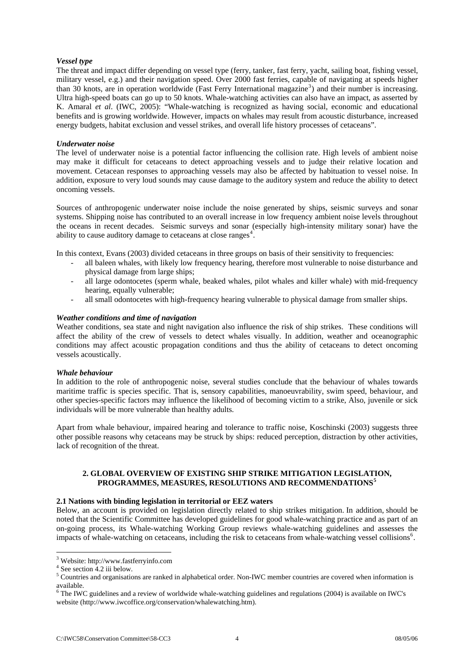## <span id="page-5-0"></span>*Vessel type*

The threat and impact differ depending on vessel type (ferry, tanker, fast ferry, yacht, sailing boat, fishing vessel, military vessel, e.g.) and their navigation speed. Over 2000 fast ferries, capable of navigating at speeds higher than [3](#page-5-1)0 knots, are in operation worldwide (Fast Ferry International magazine<sup>3</sup>) and their number is increasing. Ultra high-speed boats can go up to 50 knots. Whale-watching activities can also have an impact, as asserted by K. Amaral *et al*. (IWC, 2005): "Whale-watching is recognized as having social, economic and educational benefits and is growing worldwide. However, impacts on whales may result from acoustic disturbance, increased energy budgets, habitat exclusion and vessel strikes, and overall life history processes of cetaceans".

## *Underwater noise*

The level of underwater noise is a potential factor influencing the collision rate. High levels of ambient noise may make it difficult for cetaceans to detect approaching vessels and to judge their relative location and movement. Cetacean responses to approaching vessels may also be affected by habituation to vessel noise. In addition, exposure to very loud sounds may cause damage to the auditory system and reduce the ability to detect oncoming vessels.

Sources of anthropogenic underwater noise include the noise generated by ships, seismic surveys and sonar systems. Shipping noise has contributed to an overall increase in low frequency ambient noise levels throughout the oceans in recent decades. Seismic surveys and sonar (especially high-intensity military sonar) have the ability to cause auditory damage to cetaceans at close ranges<sup>[4](#page-5-2)</sup>.

In this context, Evans (2003) divided cetaceans in three groups on basis of their sensitivity to frequencies:

- all baleen whales, with likely low frequency hearing, therefore most vulnerable to noise disturbance and physical damage from large ships;
- all large odontocetes (sperm whale, beaked whales, pilot whales and killer whale) with mid-frequency hearing, equally vulnerable;
- all small odontocetes with high-frequency hearing vulnerable to physical damage from smaller ships.

## *Weather conditions and time of navigation*

Weather conditions, sea state and night navigation also influence the risk of ship strikes. These conditions will affect the ability of the crew of vessels to detect whales visually. In addition, weather and oceanographic conditions may affect acoustic propagation conditions and thus the ability of cetaceans to detect oncoming vessels acoustically.

#### *Whale behaviour*

In addition to the role of anthropogenic noise, several studies conclude that the behaviour of whales towards maritime traffic is species specific. That is, sensory capabilities, manoeuvrability, swim speed, behaviour, and other species-specific factors may influence the likelihood of becoming victim to a strike, Also, juvenile or sick individuals will be more vulnerable than healthy adults.

Apart from whale behaviour, impaired hearing and tolerance to traffic noise, Koschinski (2003) suggests three other possible reasons why cetaceans may be struck by ships: reduced perception, distraction by other activities, lack of recognition of the threat.

## **2. GLOBAL OVERVIEW OF EXISTING SHIP STRIKE MITIGATION LEGISLATION, PROGRAMMES, MEASURES, RESOLUTIONS AND RECOMMENDATIONS[5](#page-5-3)**

#### **2.1 Nations with binding legislation in territorial or EEZ waters**

Below, an account is provided on legislation directly related to ship strikes mitigation. In addition, should be noted that the Scientific Committee has developed guidelines for good whale-watching practice and as part of an on-going process, its Whale-watching Working Group reviews whale-watching guidelines and assesses the impacts of whale-watching on cetaceans, including the risk to cetaceans from whale-watching vessel collisions<sup>[6](#page-5-4)</sup>.

1

<span id="page-5-1"></span><sup>&</sup>lt;sup>3</sup> Website: http://www.fastferryinfo.com

 $4$  See section 4.2 iii below.

<span id="page-5-3"></span><span id="page-5-2"></span><sup>&</sup>lt;sup>5</sup> Countries and organisations are ranked in alphabetical order. Non-IWC member countries are covered when information is available.

<span id="page-5-4"></span> $6$  The IWC guidelines and a review of worldwide whale-watching guidelines and regulations (2004) is available on IWC's website ([http://www.iwcoffice.org/conservation/whalewatching.htm\).](http://www.iwcoffice.org/conservation/whalewatching.htm).)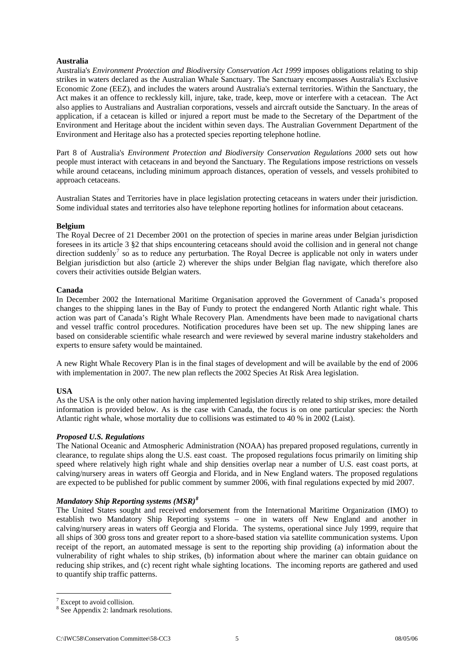## **Australia**

Australia's *Environment Protection and Biodiversity Conservation Act 1999* imposes obligations relating to ship strikes in waters declared as the Australian Whale Sanctuary. The Sanctuary encompasses Australia's Exclusive Economic Zone (EEZ), and includes the waters around Australia's external territories. Within the Sanctuary, the Act makes it an offence to recklessly kill, injure, take, trade, keep, move or interfere with a cetacean. The Act also applies to Australians and Australian corporations, vessels and aircraft outside the Sanctuary. In the areas of application, if a cetacean is killed or injured a report must be made to the Secretary of the Department of the Environment and Heritage about the incident within seven days. The Australian Government Department of the Environment and Heritage also has a protected species reporting telephone hotline.

Part 8 of Australia's *Environment Protection and Biodiversity Conservation Regulations 2000* sets out how people must interact with cetaceans in and beyond the Sanctuary. The Regulations impose restrictions on vessels while around cetaceans, including minimum approach distances, operation of vessels, and vessels prohibited to approach cetaceans.

Australian States and Territories have in place legislation protecting cetaceans in waters under their jurisdiction. Some individual states and territories also have telephone reporting hotlines for information about cetaceans.

## **Belgium**

The Royal Decree of 21 December 2001 on the protection of species in marine areas under Belgian jurisdiction foresees in its article 3 §2 that ships encountering cetaceans should avoid the collision and in general not change direction suddenly<sup>[7](#page-6-0)</sup> so as to reduce any perturbation. The Royal Decree is applicable not only in waters under Belgian jurisdiction but also (article 2) wherever the ships under Belgian flag navigate, which therefore also covers their activities outside Belgian waters.

## **Canada**

In December 2002 the International Maritime Organisation approved the Government of Canada's proposed changes to the shipping lanes in the Bay of Fundy to protect the endangered North Atlantic right whale. This action was part of Canada's Right Whale Recovery Plan. Amendments have been made to navigational charts and vessel traffic control procedures. Notification procedures have been set up. The new shipping lanes are based on considerable scientific whale research and were reviewed by several marine industry stakeholders and experts to ensure safety would be maintained.

A new Right Whale Recovery Plan is in the final stages of development and will be available by the end of 2006 with implementation in 2007. The new plan reflects the 2002 Species At Risk Area legislation.

## **USA**

As the USA is the only other nation having implemented legislation directly related to ship strikes, more detailed information is provided below. As is the case with Canada, the focus is on one particular species: the North Atlantic right whale, whose mortality due to collisions was estimated to 40 % in 2002 (Laist).

## *Proposed U.S. Regulations*

The National Oceanic and Atmospheric Administration (NOAA) has prepared proposed regulations, currently in clearance, to regulate ships along the U.S. east coast. The proposed regulations focus primarily on limiting ship speed where relatively high right whale and ship densities overlap near a number of U.S. east coast ports, at calving/nursery areas in waters off Georgia and Florida, and in New England waters. The proposed regulations are expected to be published for public comment by summer 2006, with final regulations expected by mid 2007.

## *Mandatory Ship Reporting systems (MSR)[8](#page-6-1)*

The United States sought and received endorsement from the International Maritime Organization (IMO) to establish two Mandatory Ship Reporting systems – one in waters off New England and another in calving/nursery areas in waters off Georgia and Florida. The systems, operational since July 1999, require that all ships of 300 gross tons and greater report to a shore-based station via satellite communication systems. Upon receipt of the report, an automated message is sent to the reporting ship providing (a) information about the vulnerability of right whales to ship strikes, (b) information about where the mariner can obtain guidance on reducing ship strikes, and (c) recent right whale sighting locations. The incoming reports are gathered and used to quantify ship traffic patterns.

1

<span id="page-6-0"></span><sup>&</sup>lt;sup>7</sup> Except to avoid collision.

<span id="page-6-1"></span><sup>8</sup> See Appendix 2: landmark resolutions.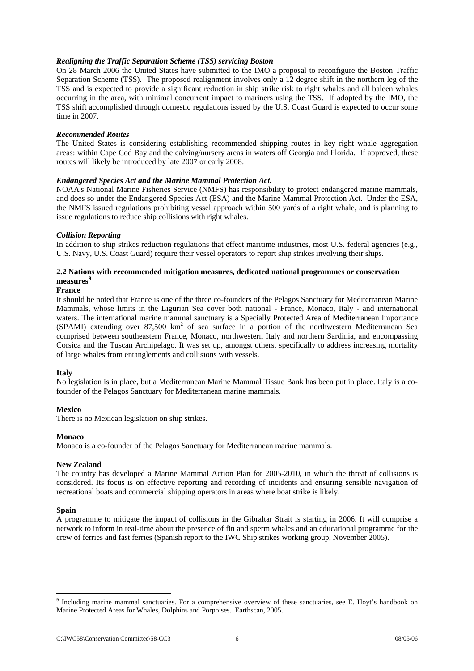## <span id="page-7-0"></span>*Realigning the Traffic Separation Scheme (TSS) servicing Boston*

On 28 March 2006 the United States have submitted to the IMO a proposal to reconfigure the Boston Traffic Separation Scheme (TSS). The proposed realignment involves only a 12 degree shift in the northern leg of the TSS and is expected to provide a significant reduction in ship strike risk to right whales and all baleen whales occurring in the area, with minimal concurrent impact to mariners using the TSS. If adopted by the IMO, the TSS shift accomplished through domestic regulations issued by the U.S. Coast Guard is expected to occur some time in 2007.

## *Recommended Routes*

The United States is considering establishing recommended shipping routes in key right whale aggregation areas: within Cape Cod Bay and the calving/nursery areas in waters off Georgia and Florida. If approved, these routes will likely be introduced by late 2007 or early 2008.

## *Endangered Species Act and the Marine Mammal Protection Act.*

NOAA's National Marine Fisheries Service (NMFS) has responsibility to protect endangered marine mammals, and does so under the Endangered Species Act (ESA) and the Marine Mammal Protection Act. Under the ESA, the NMFS issued regulations prohibiting vessel approach within 500 yards of a right whale, and is planning to issue regulations to reduce ship collisions with right whales.

## *Collision Reporting*

In addition to ship strikes reduction regulations that effect maritime industries, most U.S. federal agencies (e.g., U.S. Navy, U.S. Coast Guard) require their vessel operators to report ship strikes involving their ships.

## **2.2 Nations with recommended mitigation measures, dedicated national programmes or conservation measures[9](#page-7-1)**

#### **France**

It should be noted that France is one of the three co-founders of the Pelagos Sanctuary for Mediterranean Marine Mammals, whose limits in the Ligurian Sea cover both national - France, Monaco, Italy - and international waters. The international marine mammal sanctuary is a Specially Protected Area of Mediterranean Importance (SPAMI) extending over 87,500 km<sup>2</sup> of sea surface in a portion of the northwestern Mediterranean Sea comprised between southeastern France, Monaco, northwestern Italy and northern Sardinia, and encompassing Corsica and the Tuscan Archipelago. It was set up, amongst others, specifically to address increasing mortality of large whales from entanglements and collisions with vessels.

#### **Italy**

No legislation is in place, but a Mediterranean Marine Mammal Tissue Bank has been put in place. Italy is a cofounder of the Pelagos Sanctuary for Mediterranean marine mammals.

#### **Mexico**

There is no Mexican legislation on ship strikes.

#### **Monaco**

Monaco is a co-founder of the Pelagos Sanctuary for Mediterranean marine mammals.

#### **New Zealand**

The country has developed a Marine Mammal Action Plan for 2005-2010, in which the threat of collisions is considered. Its focus is on effective reporting and recording of incidents and ensuring sensible navigation of recreational boats and commercial shipping operators in areas where boat strike is likely.

#### **Spain**

1

A programme to mitigate the impact of collisions in the Gibraltar Strait is starting in 2006. It will comprise a network to inform in real-time about the presence of fin and sperm whales and an educational programme for the crew of ferries and fast ferries (Spanish report to the IWC Ship strikes working group, November 2005).

<span id="page-7-1"></span><sup>&</sup>lt;sup>9</sup> Including marine mammal sanctuaries. For a comprehensive overview of these sanctuaries, see E. Hoyt's handbook on Marine Protected Areas for Whales, Dolphins and Porpoises. Earthscan, 2005.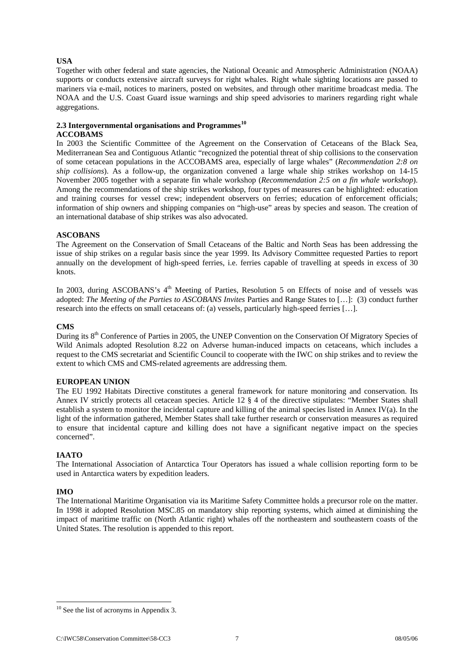## <span id="page-8-0"></span>**USA**

Together with other federal and state agencies, the National Oceanic and Atmospheric Administration (NOAA) supports or conducts extensive aircraft surveys for right whales. Right whale sighting locations are passed to mariners via e-mail, notices to mariners, posted on websites, and through other maritime broadcast media. The NOAA and the U.S. Coast Guard issue warnings and ship speed advisories to mariners regarding right whale aggregations.

## **2.3 Intergovernmental organisations and Programmes[10](#page-8-1)**

## **ACCOBAMS**

In 2003 the Scientific Committee of the Agreement on the Conservation of Cetaceans of the Black Sea, Mediterranean Sea and Contiguous Atlantic "recognized the potential threat of ship collisions to the conservation of some cetacean populations in the ACCOBAMS area, especially of large whales" (*Recommendation 2:8 on ship collisions*). As a follow-up, the organization convened a large whale ship strikes workshop on 14-15 November 2005 together with a separate fin whale workshop (*Recommendation 2:5 on a fin whale workshop*). Among the recommendations of the ship strikes workshop, four types of measures can be highlighted: education and training courses for vessel crew; independent observers on ferries; education of enforcement officials; information of ship owners and shipping companies on "high-use" areas by species and season. The creation of an international database of ship strikes was also advocated.

## **ASCOBANS**

The Agreement on the Conservation of Small Cetaceans of the Baltic and North Seas has been addressing the issue of ship strikes on a regular basis since the year 1999. Its Advisory Committee requested Parties to report annually on the development of high-speed ferries, i.e. ferries capable of travelling at speeds in excess of 30 knots.

In 2003, during ASCOBANS's 4<sup>th</sup> Meeting of Parties, Resolution 5 on Effects of noise and of vessels was adopted: *The Meeting of the Parties to ASCOBANS Invites* Parties and Range States to […]: (3) conduct further research into the effects on small cetaceans of: (a) vessels, particularly high-speed ferries […].

## **CMS**

During its 8<sup>th</sup> Conference of Parties in 2005, the UNEP Convention on the Conservation Of Migratory Species of Wild Animals adopted Resolution 8.22 on Adverse human-induced impacts on cetaceans, which includes a request to the CMS secretariat and Scientific Council to cooperate with the IWC on ship strikes and to review the extent to which CMS and CMS-related agreements are addressing them.

## **EUROPEAN UNION**

The EU 1992 Habitats Directive constitutes a general framework for nature monitoring and conservation. Its Annex IV strictly protects all cetacean species. Article 12 § 4 of the directive stipulates: "Member States shall establish a system to monitor the incidental capture and killing of the animal species listed in Annex IV(a). In the light of the information gathered, Member States shall take further research or conservation measures as required to ensure that incidental capture and killing does not have a significant negative impact on the species concerned".

## **IAATO**

The International Association of Antarctica Tour Operators has issued a whale collision reporting form to be used in Antarctica waters by expedition leaders.

## **IMO**

The International Maritime Organisation via its Maritime Safety Committee holds a precursor role on the matter. In 1998 it adopted Resolution MSC.85 on mandatory ship reporting systems, which aimed at diminishing the impact of maritime traffic on (North Atlantic right) whales off the northeastern and southeastern coasts of the United States. The resolution is appended to this report.

<span id="page-8-1"></span><sup>1</sup>  $10$  See the list of acronyms in Appendix 3.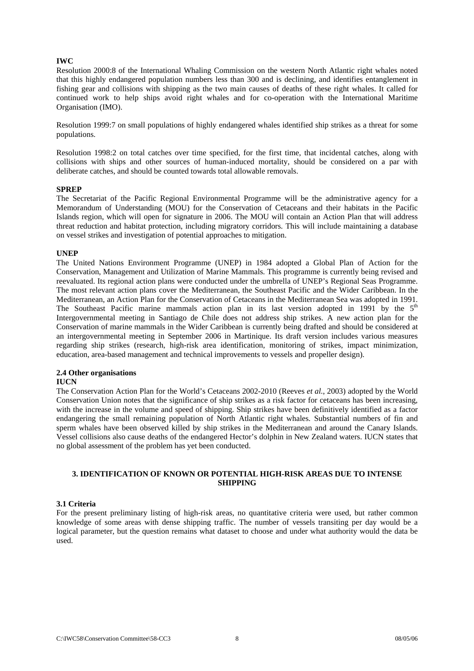## <span id="page-9-0"></span>**IWC**

Resolution 2000:8 of the International Whaling Commission on the western North Atlantic right whales noted that this highly endangered population numbers less than 300 and is declining, and identifies entanglement in fishing gear and collisions with shipping as the two main causes of deaths of these right whales. It called for continued work to help ships avoid right whales and for co-operation with the International Maritime Organisation (IMO).

Resolution 1999:7 on small populations of highly endangered whales identified ship strikes as a threat for some populations.

Resolution 1998:2 on total catches over time specified, for the first time, that incidental catches, along with collisions with ships and other sources of human-induced mortality, should be considered on a par with deliberate catches, and should be counted towards total allowable removals.

#### **SPREP**

The Secretariat of the Pacific Regional Environmental Programme will be the administrative agency for a Memorandum of Understanding (MOU) for the Conservation of Cetaceans and their habitats in the Pacific Islands region, which will open for signature in 2006. The MOU will contain an Action Plan that will address threat reduction and habitat protection, including migratory corridors. This will include maintaining a database on vessel strikes and investigation of potential approaches to mitigation.

#### **UNEP**

The United Nations Environment Programme (UNEP) in 1984 adopted a Global Plan of Action for the Conservation, Management and Utilization of Marine Mammals. This programme is currently being revised and reevaluated. Its regional action plans were conducted under the umbrella of UNEP's Regional Seas Programme. The most relevant action plans cover the Mediterranean, the Southeast Pacific and the Wider Caribbean. In the Mediterranean, an Action Plan for the Conservation of Cetaceans in the Mediterranean Sea was adopted in 1991. The Southeast Pacific marine mammals action plan in its last version adopted in 1991 by the  $5<sup>th</sup>$ Intergovernmental meeting in Santiago de Chile does not address ship strikes. A new action plan for the Conservation of marine mammals in the Wider Caribbean is currently being drafted and should be considered at an intergovernmental meeting in September 2006 in Martinique. Its draft version includes various measures regarding ship strikes (research, high-risk area identification, monitoring of strikes, impact minimization, education, area-based management and technical improvements to vessels and propeller design).

## **2.4 Other organisations**

## **IUCN**

The Conservation Action Plan for the World's Cetaceans 2002-2010 (Reeves *et al.*, 2003) adopted by the World Conservation Union notes that the significance of ship strikes as a risk factor for cetaceans has been increasing, with the increase in the volume and speed of shipping. Ship strikes have been definitively identified as a factor endangering the small remaining population of North Atlantic right whales. Substantial numbers of fin and sperm whales have been observed killed by ship strikes in the Mediterranean and around the Canary Islands. Vessel collisions also cause deaths of the endangered Hector's dolphin in New Zealand waters. IUCN states that no global assessment of the problem has yet been conducted.

## **3. IDENTIFICATION OF KNOWN OR POTENTIAL HIGH-RISK AREAS DUE TO INTENSE SHIPPING**

## **3.1 Criteria**

For the present preliminary listing of high-risk areas, no quantitative criteria were used, but rather common knowledge of some areas with dense shipping traffic. The number of vessels transiting per day would be a logical parameter, but the question remains what dataset to choose and under what authority would the data be used.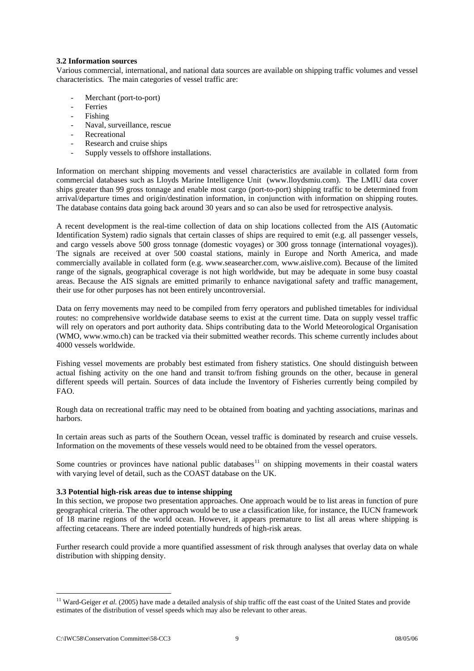## <span id="page-10-0"></span>**3.2 Information sources**

Various commercial, international, and national data sources are available on shipping traffic volumes and vessel characteristics. The main categories of vessel traffic are:

- Merchant (port-to-port)
- **Ferries**
- Fishing
- Naval, surveillance, rescue
- Recreational
- Research and cruise ships
- Supply vessels to offshore installations.

Information on merchant shipping movements and vessel characteristics are available in collated form from commercial databases such as Lloyds Marine Intelligence Unit [\(www.lloydsmiu.com\)](http://www.lloydsmiu.com/). The LMIU data cover ships greater than 99 gross tonnage and enable most cargo (port-to-port) shipping traffic to be determined from arrival/departure times and origin/destination information, in conjunction with information on shipping routes. The database contains data going back around 30 years and so can also be used for retrospective analysis.

A recent development is the real-time collection of data on ship locations collected from the AIS (Automatic Identification System) radio signals that certain classes of ships are required to emit (e.g. all passenger vessels, and cargo vessels above 500 gross tonnage (domestic voyages) or 300 gross tonnage (international voyages)). The signals are received at over 500 coastal stations, mainly in Europe and North America, and made commercially available in collated form (e.g. [www.seasearcher.com,](http://www.seassearcher.com/) [www.aislive.com\)](http://www.aislive.com/). Because of the limited range of the signals, geographical coverage is not high worldwide, but may be adequate in some busy coastal areas. Because the AIS signals are emitted primarily to enhance navigational safety and traffic management, their use for other purposes has not been entirely uncontroversial.

Data on ferry movements may need to be compiled from ferry operators and published timetables for individual routes: no comprehensive worldwide database seems to exist at the current time. Data on supply vessel traffic will rely on operators and port authority data. Ships contributing data to the World Meteorological Organisation (WMO, [www.wmo.ch\)](http://www.wmo.ch/) can be tracked via their submitted weather records. This scheme currently includes about 4000 vessels worldwide.

Fishing vessel movements are probably best estimated from fishery statistics. One should distinguish between actual fishing activity on the one hand and transit to/from fishing grounds on the other, because in general different speeds will pertain. Sources of data include the Inventory of Fisheries currently being compiled by FAO.

Rough data on recreational traffic may need to be obtained from boating and yachting associations, marinas and harbors.

In certain areas such as parts of the Southern Ocean, vessel traffic is dominated by research and cruise vessels. Information on the movements of these vessels would need to be obtained from the vessel operators.

Some countries or provinces have national public databases<sup>[11](#page-10-1)</sup> on shipping movements in their coastal waters with varying level of detail, such as the COAST database on the UK.

## **3.3 Potential high-risk areas due to intense shipping**

In this section, we propose two presentation approaches. One approach would be to list areas in function of pure geographical criteria. The other approach would be to use a classification like, for instance, the IUCN framework of 18 marine regions of the world ocean. However, it appears premature to list all areas where shipping is affecting cetaceans. There are indeed potentially hundreds of high-risk areas.

Further research could provide a more quantified assessment of risk through analyses that overlay data on whale distribution with shipping density.

1

<span id="page-10-1"></span><sup>&</sup>lt;sup>11</sup> Ward-Geiger *et al.* (2005) have made a detailed analysis of ship traffic off the east coast of the United States and provide estimates of the distribution of vessel speeds which may also be relevant to other areas.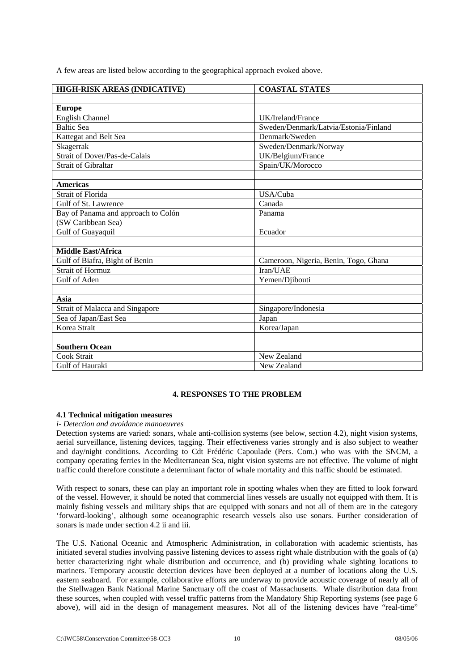<span id="page-11-0"></span>A few areas are listed below according to the geographical approach evoked above.

| HIGH-RISK AREAS (INDICATIVE)           | <b>COASTAL STATES</b>                 |  |
|----------------------------------------|---------------------------------------|--|
|                                        |                                       |  |
| <b>Europe</b>                          |                                       |  |
| <b>English Channel</b>                 | UK/Ireland/France                     |  |
| <b>Baltic Sea</b>                      | Sweden/Denmark/Latvia/Estonia/Finland |  |
| Kattegat and Belt Sea                  | Denmark/Sweden                        |  |
| Skagerrak                              | Sweden/Denmark/Norway                 |  |
| <b>Strait of Dover/Pas-de-Calais</b>   | UK/Belgium/France                     |  |
| <b>Strait of Gibraltar</b>             | Spain/UK/Morocco                      |  |
|                                        |                                       |  |
| <b>Americas</b>                        |                                       |  |
| Strait of Florida                      | USA/Cuba                              |  |
| Gulf of St. Lawrence                   | Canada                                |  |
| Bay of Panama and approach to Colón    | Panama                                |  |
| (SW Caribbean Sea)                     |                                       |  |
| Gulf of Guayaquil                      | Ecuador                               |  |
|                                        |                                       |  |
| <b>Middle East/Africa</b>              |                                       |  |
| Gulf of Biafra, Bight of Benin         | Cameroon, Nigeria, Benin, Togo, Ghana |  |
| <b>Strait of Hormuz</b>                | Iran/UAE                              |  |
| Gulf of Aden                           | Yemen/Djibouti                        |  |
|                                        |                                       |  |
| Asia                                   |                                       |  |
| <b>Strait of Malacca and Singapore</b> | Singapore/Indonesia                   |  |
| Sea of Japan/East Sea                  | Japan                                 |  |
| Korea Strait                           | Korea/Japan                           |  |
|                                        |                                       |  |
| <b>Southern Ocean</b>                  |                                       |  |
| Cook Strait                            | New Zealand                           |  |
| Gulf of Hauraki                        | New Zealand                           |  |

## **4. RESPONSES TO THE PROBLEM**

## **4.1 Technical mitigation measures**

## *i- Detection and avoidance manoeuvres*

Detection systems are varied: sonars, whale anti-collision systems (see below, section 4.2), night vision systems, aerial surveillance, listening devices, tagging. Their effectiveness varies strongly and is also subject to weather and day/night conditions. According to Cdt Frédéric Capoulade (Pers. Com.) who was with the SNCM, a company operating ferries in the Mediterranean Sea, night vision systems are not effective. The volume of night traffic could therefore constitute a determinant factor of whale mortality and this traffic should be estimated.

With respect to sonars, these can play an important role in spotting whales when they are fitted to look forward of the vessel. However, it should be noted that commercial lines vessels are usually not equipped with them. It is mainly fishing vessels and military ships that are equipped with sonars and not all of them are in the category 'forward-looking', although some oceanographic research vessels also use sonars. Further consideration of sonars is made under section 4.2 ii and iii.

The U.S. National Oceanic and Atmospheric Administration, in collaboration with academic scientists, has initiated several studies involving passive listening devices to assess right whale distribution with the goals of (a) better characterizing right whale distribution and occurrence, and (b) providing whale sighting locations to mariners. Temporary acoustic detection devices have been deployed at a number of locations along the U.S. eastern seaboard. For example, collaborative efforts are underway to provide acoustic coverage of nearly all of the Stellwagen Bank National Marine Sanctuary off the coast of Massachusetts. Whale distribution data from these sources, when coupled with vessel traffic patterns from the Mandatory Ship Reporting systems (see page 6 above), will aid in the design of management measures. Not all of the listening devices have "real-time"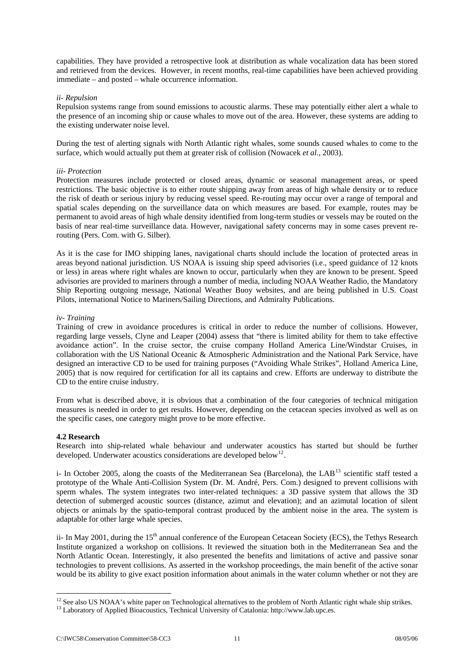<span id="page-12-0"></span>capabilities. They have provided a retrospective look at distribution as whale vocalization data has been stored and retrieved from the devices. However, in recent months, real-time capabilities have been achieved providing immediate – and posted – whale occurrence information.

## *ii- Repulsion*

Repulsion systems range from sound emissions to acoustic alarms. These may potentially either alert a whale to the presence of an incoming ship or cause whales to move out of the area. However, these systems are adding to the existing underwater noise level.

During the test of alerting signals with North Atlantic right whales, some sounds caused whales to come to the surface, which would actually put them at greater risk of collision (Nowacek *et al.,* 2003).

## *iii- Protection*

Protection measures include protected or closed areas, dynamic or seasonal management areas, or speed restrictions. The basic objective is to either route shipping away from areas of high whale density or to reduce the risk of death or serious injury by reducing vessel speed. Re-routing may occur over a range of temporal and spatial scales depending on the surveillance data on which measures are based. For example, routes may be permanent to avoid areas of high whale density identified from long-term studies or vessels may be routed on the basis of near real-time surveillance data. However, navigational safety concerns may in some cases prevent rerouting (Pers. Com. with G. Silber).

As it is the case for IMO shipping lanes, navigational charts should include the location of protected areas in areas beyond national jurisdiction. US NOAA is issuing ship speed advisories (i.e., speed guidance of 12 knots or less) in areas where right whales are known to occur, particularly when they are known to be present. Speed advisories are provided to mariners through a number of media, including NOAA Weather Radio, the Mandatory Ship Reporting outgoing message, National Weather Buoy websites, and are being published in U.S. Coast Pilots, international Notice to Mariners/Sailing Directions, and Admiralty Publications.

## *iv- Training*

Training of crew in avoidance procedures is critical in order to reduce the number of collisions. However, regarding large vessels, Clyne and Leaper (2004) assess that "there is limited ability for them to take effective avoidance action". In the cruise sector, the cruise company Holland America Line/Windstar Cruises, in collaboration with the US National Oceanic & Atmospheric Administration and the National Park Service, have designed an interactive CD to be used for training purposes ("Avoiding Whale Strikes", Holland America Line, 2005) that is now required for certification for all its captains and crew. Efforts are underway to distribute the CD to the entire cruise industry.

From what is described above, it is obvious that a combination of the four categories of technical mitigation measures is needed in order to get results. However, depending on the cetacean species involved as well as on the specific cases, one category might prove to be more effective.

## **4.2 Research**

1

Research into ship-related whale behaviour and underwater acoustics has started but should be further developed. Underwater acoustics considerations are developed below<sup>[12](#page-12-1)</sup>.

i- In October 2005, along the coasts of the Mediterranean Sea (Barcelona), the LAB<sup>13</sup> scientific staff tested a prototype of the Whale Anti-Collision System (Dr. M. André, Pers. Com.) designed to prevent collisions with sperm whales. The system integrates two inter-related techniques: a 3D passive system that allows the 3D detection of submerged acoustic sources (distance, azimut and elevation); and an azimutal location of silent objects or animals by the spatio-temporal contrast produced by the ambient noise in the area. The system is adaptable for other large whale species.

ii- In May 2001, during the 15<sup>th</sup> annual conference of the European Cetacean Society (ECS), the Tethys Research Institute organized a workshop on collisions. It reviewed the situation both in the Mediterranean Sea and the North Atlantic Ocean. Interestingly, it also presented the benefits and limitations of active and passive sonar technologies to prevent collisions. As asserted in the workshop proceedings, the main benefit of the active sonar would be its ability to give exact position information about animals in the water column whether or not they are

<span id="page-12-1"></span><sup>&</sup>lt;sup>12</sup> See also US NOAA's white paper on Technological alternatives to the problem of North Atlantic right whale ship strikes. <sup>13</sup> Laboratory of Applied Bioacoustics, Technical University of Catalonia: http://www.lab.upc.e

<span id="page-12-2"></span>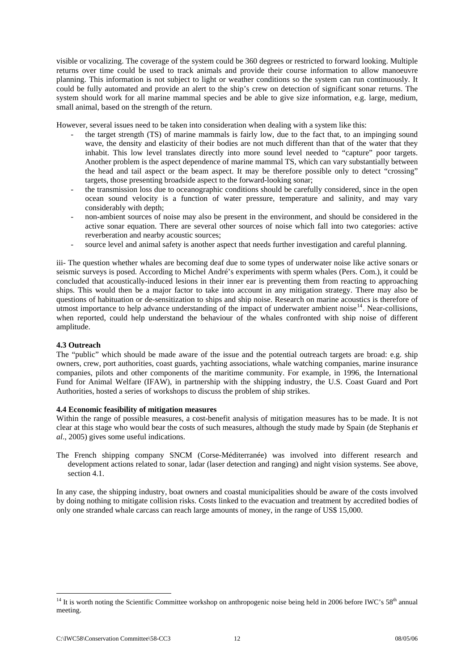<span id="page-13-0"></span>visible or vocalizing. The coverage of the system could be 360 degrees or restricted to forward looking. Multiple returns over time could be used to track animals and provide their course information to allow manoeuvre planning. This information is not subject to light or weather conditions so the system can run continuously. It could be fully automated and provide an alert to the ship's crew on detection of significant sonar returns. The system should work for all marine mammal species and be able to give size information, e.g. large, medium, small animal, based on the strength of the return.

However, several issues need to be taken into consideration when dealing with a system like this:

- the target strength (TS) of marine mammals is fairly low, due to the fact that, to an impinging sound wave, the density and elasticity of their bodies are not much different than that of the water that they inhabit. This low level translates directly into more sound level needed to "capture" poor targets. Another problem is the aspect dependence of marine mammal TS, which can vary substantially between the head and tail aspect or the beam aspect. It may be therefore possible only to detect "crossing" targets, those presenting broadside aspect to the forward-looking sonar;
- the transmission loss due to oceanographic conditions should be carefully considered, since in the open ocean sound velocity is a function of water pressure, temperature and salinity, and may vary considerably with depth;
- non-ambient sources of noise may also be present in the environment, and should be considered in the active sonar equation. There are several other sources of noise which fall into two categories: active reverberation and nearby acoustic sources;
- source level and animal safety is another aspect that needs further investigation and careful planning.

iii- The question whether whales are becoming deaf due to some types of underwater noise like active sonars or seismic surveys is posed. According to Michel André's experiments with sperm whales (Pers. Com.), it could be concluded that acoustically-induced lesions in their inner ear is preventing them from reacting to approaching ships. This would then be a major factor to take into account in any mitigation strategy. There may also be questions of habituation or de-sensitization to ships and ship noise. Research on marine acoustics is therefore of utmost importance to help advance understanding of the impact of underwater ambient noise<sup>[14](#page-13-1)</sup>. Near-collisions, when reported, could help understand the behaviour of the whales confronted with ship noise of different amplitude.

## **4.3 Outreach**

The "public" which should be made aware of the issue and the potential outreach targets are broad: e.g. ship owners, crew, port authorities, coast guards, yachting associations, whale watching companies, marine insurance companies, pilots and other components of the maritime community. For example, in 1996, the International Fund for Animal Welfare (IFAW), in partnership with the shipping industry, the U.S. Coast Guard and Port Authorities, hosted a series of workshops to discuss the problem of ship strikes.

## **4.4 Economic feasibility of mitigation measures**

Within the range of possible measures, a cost-benefit analysis of mitigation measures has to be made. It is not clear at this stage who would bear the costs of such measures, although the study made by Spain (de Stephanis *et al*., 2005) gives some useful indications.

The French shipping company SNCM (Corse-Méditerranée) was involved into different research and development actions related to sonar, ladar (laser detection and ranging) and night vision systems. See above, section 4.1.

In any case, the shipping industry, boat owners and coastal municipalities should be aware of the costs involved by doing nothing to mitigate collision risks. Costs linked to the evacuation and treatment by accredited bodies of only one stranded whale carcass can reach large amounts of money, in the range of US\$ 15,000.

1

<span id="page-13-1"></span> $14$  It is worth noting the Scientific Committee workshop on anthropogenic noise being held in 2006 before IWC's  $58<sup>th</sup>$  annual meeting.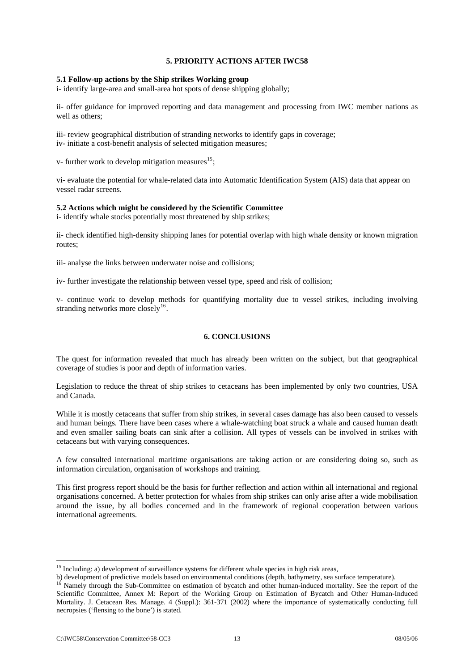## **5. PRIORITY ACTIONS AFTER IWC58**

### <span id="page-14-0"></span>**5.1 Follow-up actions by the Ship strikes Working group**

i- identify large-area and small-area hot spots of dense shipping globally;

ii- offer guidance for improved reporting and data management and processing from IWC member nations as well as others;

iii- review geographical distribution of stranding networks to identify gaps in coverage; iv- initiate a cost-benefit analysis of selected mitigation measures;

v- further work to develop mitigation measures<sup>[15](#page-14-1)</sup>;

vi- evaluate the potential for whale-related data into Automatic Identification System (AIS) data that appear on vessel radar screens.

## **5.2 Actions which might be considered by the Scientific Committee**

i- identify whale stocks potentially most threatened by ship strikes;

ii- check identified high-density shipping lanes for potential overlap with high whale density or known migration routes;

iii- analyse the links between underwater noise and collisions;

iv- further investigate the relationship between vessel type, speed and risk of collision;

v- continue work to develop methods for quantifying mortality due to vessel strikes, including involving stranding networks more closely<sup>[16](#page-14-2)</sup>.

## **6. CONCLUSIONS**

The quest for information revealed that much has already been written on the subject, but that geographical coverage of studies is poor and depth of information varies.

Legislation to reduce the threat of ship strikes to cetaceans has been implemented by only two countries, USA and Canada.

While it is mostly cetaceans that suffer from ship strikes, in several cases damage has also been caused to vessels and human beings. There have been cases where a whale-watching boat struck a whale and caused human death and even smaller sailing boats can sink after a collision. All types of vessels can be involved in strikes with cetaceans but with varying consequences.

A few consulted international maritime organisations are taking action or are considering doing so, such as information circulation, organisation of workshops and training.

This first progress report should be the basis for further reflection and action within all international and regional organisations concerned. A better protection for whales from ship strikes can only arise after a wide mobilisation around the issue, by all bodies concerned and in the framework of regional cooperation between various international agreements.

 $\overline{a}$ 

<span id="page-14-1"></span><sup>&</sup>lt;sup>15</sup> Including: a) development of surveillance systems for different whale species in high risk areas,

<span id="page-14-2"></span>b) development of predictive models based on environmental conditions (depth, bathymetry, sea surface temperature).<br><sup>16</sup> Namely through the Sub-Committee on estimation of bycatch and other human-induced mortality. See the Scientific Committee, Annex M: Report of the Working Group on Estimation of Bycatch and Other Human-Induced Mortality. J. Cetacean Res. Manage. 4 (Suppl.): 361-371 (2002) where the importance of systematically conducting full necropsies ('flensing to the bone') is stated.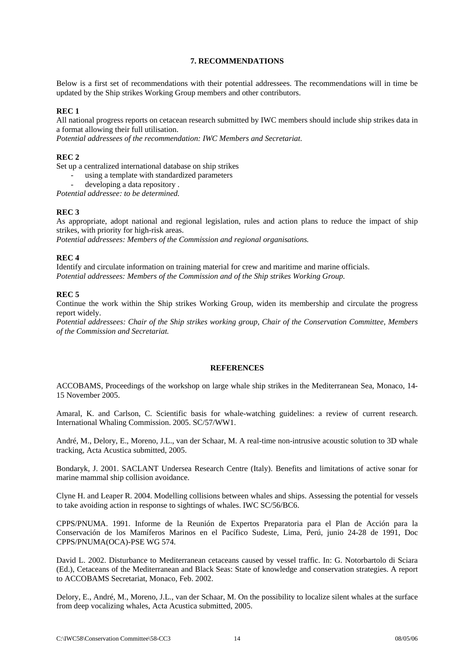## **7. RECOMMENDATIONS**

<span id="page-15-0"></span>Below is a first set of recommendations with their potential addressees. The recommendations will in time be updated by the Ship strikes Working Group members and other contributors.

## **REC 1**

All national progress reports on cetacean research submitted by IWC members should include ship strikes data in a format allowing their full utilisation.

*Potential addressees of the recommendation: IWC Members and Secretariat*.

## **REC 2**

Set up a centralized international database on ship strikes

- using a template with standardized parameters
- developing a data repository.

*Potential addressee: to be determined.* 

## **REC 3**

As appropriate, adopt national and regional legislation, rules and action plans to reduce the impact of ship strikes, with priority for high-risk areas.

*Potential addressees: Members of the Commission and regional organisations.* 

## **REC 4**

Identify and circulate information on training material for crew and maritime and marine officials. *Potential addressees: Members of the Commission and of the Ship strikes Working Group.* 

## **REC 5**

Continue the work within the Ship strikes Working Group, widen its membership and circulate the progress report widely.

*Potential addressees: Chair of the Ship strikes working group, Chair of the Conservation Committee, Members of the Commission and Secretariat.* 

## **REFERENCES**

ACCOBAMS, Proceedings of the workshop on large whale ship strikes in the Mediterranean Sea, Monaco, 14- 15 November 2005.

Amaral, K. and Carlson, C. Scientific basis for whale-watching guidelines: a review of current research. International Whaling Commission. 2005. SC/57/WW1.

André, M., Delory, E., Moreno, J.L., van der Schaar, M. A real-time non-intrusive acoustic solution to 3D whale tracking, Acta Acustica submitted, 2005.

Bondaryk, J. 2001. SACLANT Undersea Research Centre (Italy). Benefits and limitations of active sonar for marine mammal ship collision avoidance.

Clyne H. and Leaper R. 2004. Modelling collisions between whales and ships. Assessing the potential for vessels to take avoiding action in response to sightings of whales. IWC SC/56/BC6.

CPPS/PNUMA. 1991. Informe de la Reunión de Expertos Preparatoria para el Plan de Acción para la Conservación de los Mamíferos Marinos en el Pacífico Sudeste, Lima, Perú, junio 24-28 de 1991, Doc CPPS/PNUMA(OCA)-PSE WG 574.

David L. 2002. Disturbance to Mediterranean cetaceans caused by vessel traffic. In: G. Notorbartolo di Sciara (Ed.), Cetaceans of the Mediterranean and Black Seas: State of knowledge and conservation strategies. A report to ACCOBAMS Secretariat, Monaco, Feb. 2002.

Delory, E., André, M., Moreno, J.L., van der Schaar, M. On the possibility to localize silent whales at the surface from deep vocalizing whales, Acta Acustica submitted, 2005.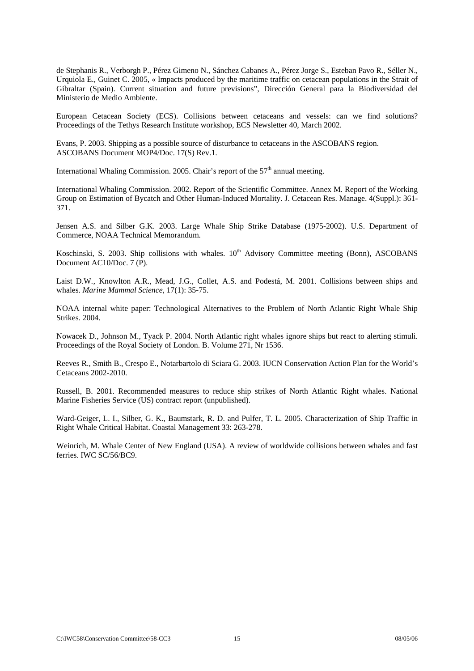de Stephanis R., Verborgh P., Pérez Gimeno N., Sánchez Cabanes A., Pérez Jorge S., Esteban Pavo R., Séller N., Urquiola E., Guinet C. 2005, « Impacts produced by the maritime traffic on cetacean populations in the Strait of Gibraltar (Spain). Current situation and future previsions", Dirección General para la Biodiversidad del Ministerio de Medio Ambiente.

European Cetacean Society (ECS). Collisions between cetaceans and vessels: can we find solutions? Proceedings of the Tethys Research Institute workshop, ECS Newsletter 40, March 2002.

Evans, P. 2003. Shipping as a possible source of disturbance to cetaceans in the ASCOBANS region. ASCOBANS Document MOP4/Doc. 17(S) Rev.1.

International Whaling Commission. 2005. Chair's report of the  $57<sup>th</sup>$  annual meeting.

International Whaling Commission. 2002. Report of the Scientific Committee. Annex M. Report of the Working Group on Estimation of Bycatch and Other Human-Induced Mortality. J. Cetacean Res. Manage. 4(Suppl.): 361- 371.

Jensen A.S. and Silber G.K. 2003. Large Whale Ship Strike Database (1975-2002). U.S. Department of Commerce, NOAA Technical Memorandum.

Koschinski, S. 2003. Ship collisions with whales. 10<sup>th</sup> Advisory Committee meeting (Bonn), ASCOBANS Document AC10/Doc. 7 (P).

Laist D.W*.,* Knowlton A.R., Mead, J.G., Collet, A.S. and Podestá, M. 2001. Collisions between ships and whales. *Marine Mammal Science*, 17(1): 35-75.

NOAA internal white paper: Technological Alternatives to the Problem of North Atlantic Right Whale Ship Strikes. 2004.

Nowacek D., Johnson M., Tyack P. 2004. North Atlantic right whales ignore ships but react to alerting stimuli. Proceedings of the Royal Society of London. B. Volume 271, Nr 1536.

Reeves R., Smith B., Crespo E., Notarbartolo di Sciara G. 2003. IUCN Conservation Action Plan for the World's Cetaceans 2002-2010.

Russell, B. 2001. Recommended measures to reduce ship strikes of North Atlantic Right whales. National Marine Fisheries Service (US) contract report (unpublished).

Ward-Geiger, L. I., Silber, G. K., Baumstark, R. D. and Pulfer, T. L. 2005. Characterization of Ship Traffic in Right Whale Critical Habitat. Coastal Management 33: 263-278.

Weinrich, M. Whale Center of New England (USA). A review of worldwide collisions between whales and fast ferries. IWC SC/56/BC9.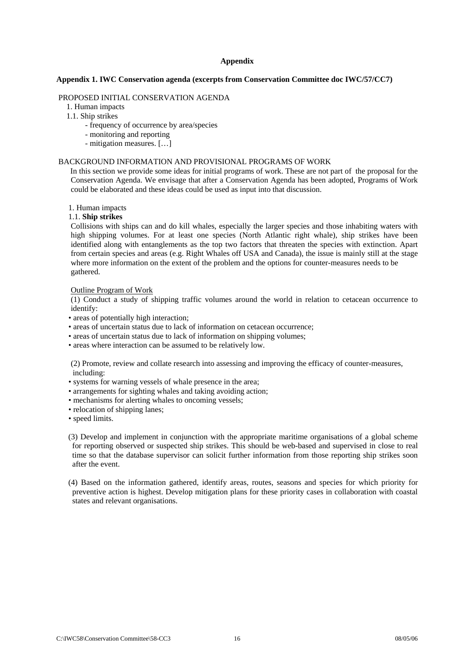### **Appendix**

## <span id="page-17-0"></span>**Appendix 1. IWC Conservation agenda (excerpts from Conservation Committee doc IWC/57/CC7)**

## PROPOSED INITIAL CONSERVATION AGENDA

1. Human impacts

- 1.1. Ship strikes
	- frequency of occurrence by area/species
	- monitoring and reporting
	- mitigation measures. […]

## BACKGROUND INFORMATION AND PROVISIONAL PROGRAMS OF WORK

 In this section we provide some ideas for initial programs of work. These are not part of the proposal for the Conservation Agenda. We envisage that after a Conservation Agenda has been adopted, Programs of Work could be elaborated and these ideas could be used as input into that discussion.

#### 1. Human impacts

#### 1.1. **Ship strikes**

Collisions with ships can and do kill whales, especially the larger species and those inhabiting waters with high shipping volumes. For at least one species (North Atlantic right whale), ship strikes have been identified along with entanglements as the top two factors that threaten the species with extinction. Apart from certain species and areas (e.g. Right Whales off USA and Canada), the issue is mainly still at the stage where more information on the extent of the problem and the options for counter-measures needs to be gathered.

#### Outline Program of Work

(1) Conduct a study of shipping traffic volumes around the world in relation to cetacean occurrence to identify:

- areas of potentially high interaction;
- areas of uncertain status due to lack of information on cetacean occurrence;
- areas of uncertain status due to lack of information on shipping volumes;
- areas where interaction can be assumed to be relatively low.

(2) Promote, review and collate research into assessing and improving the efficacy of counter-measures, including:

- systems for warning vessels of whale presence in the area;
- arrangements for sighting whales and taking avoiding action;
- mechanisms for alerting whales to oncoming vessels;
- relocation of shipping lanes;
- speed limits.

 (3) Develop and implement in conjunction with the appropriate maritime organisations of a global scheme for reporting observed or suspected ship strikes. This should be web-based and supervised in close to real time so that the database supervisor can solicit further information from those reporting ship strikes soon after the event.

 (4) Based on the information gathered, identify areas, routes, seasons and species for which priority for preventive action is highest. Develop mitigation plans for these priority cases in collaboration with coastal states and relevant organisations.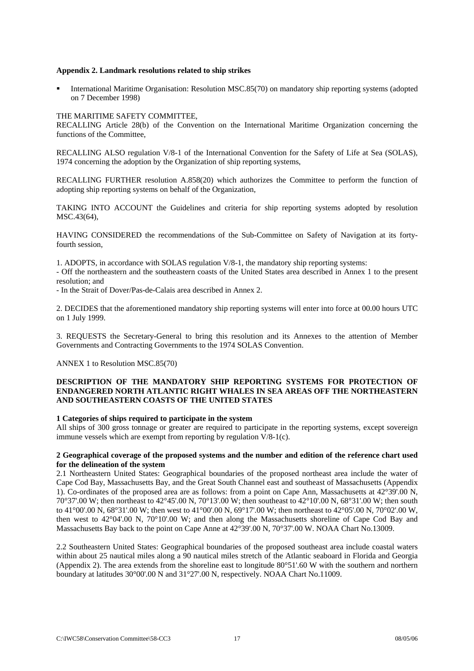## <span id="page-18-0"></span>**Appendix 2. Landmark resolutions related to ship strikes**

 International Maritime Organisation: Resolution MSC.85(70) on mandatory ship reporting systems (adopted on 7 December 1998)

## THE MARITIME SAFETY COMMITTEE,

RECALLING Article 28(b) of the Convention on the International Maritime Organization concerning the functions of the Committee,

RECALLING ALSO regulation V/8-1 of the International Convention for the Safety of Life at Sea (SOLAS), 1974 concerning the adoption by the Organization of ship reporting systems,

RECALLING FURTHER resolution A.858(20) which authorizes the Committee to perform the function of adopting ship reporting systems on behalf of the Organization,

TAKING INTO ACCOUNT the Guidelines and criteria for ship reporting systems adopted by resolution MSC.43(64),

HAVING CONSIDERED the recommendations of the Sub-Committee on Safety of Navigation at its fortyfourth session,

1. ADOPTS, in accordance with SOLAS regulation V/8-1, the mandatory ship reporting systems:

- Off the northeastern and the southeastern coasts of the United States area described in Annex 1 to the present resolution; and

- In the Strait of Dover/Pas-de-Calais area described in Annex 2.

2. DECIDES that the aforementioned mandatory ship reporting systems will enter into force at 00.00 hours UTC on 1 July 1999.

3. REQUESTS the Secretary-General to bring this resolution and its Annexes to the attention of Member Governments and Contracting Governments to the 1974 SOLAS Convention.

ANNEX 1 to Resolution MSC.85(70)

## **DESCRIPTION OF THE MANDATORY SHIP REPORTING SYSTEMS FOR PROTECTION OF ENDANGERED NORTH ATLANTIC RIGHT WHALES IN SEA AREAS OFF THE NORTHEASTERN AND SOUTHEASTERN COASTS OF THE UNITED STATES**

## **1 Categories of ships required to participate in the system**

All ships of 300 gross tonnage or greater are required to participate in the reporting systems, except sovereign immune vessels which are exempt from reporting by regulation V/8-1(c).

## **2 Geographical coverage of the proposed systems and the number and edition of the reference chart used for the delineation of the system**

2.1 Northeastern United States: Geographical boundaries of the proposed northeast area include the water of Cape Cod Bay, Massachusetts Bay, and the Great South Channel east and southeast of Massachusetts (Appendix 1). Co-ordinates of the proposed area are as follows: from a point on Cape Ann, Massachusetts at 42°39'.00 N, 70°37'.00 W; then northeast to 42°45'.00 N, 70°13'.00 W; then southeast to 42°10'.00 N, 68°31'.00 W; then south to 41°00'.00 N, 68°31'.00 W; then west to 41°00'.00 N, 69°17'.00 W; then northeast to 42°05'.00 N, 70°02'.00 W, then west to 42°04'.00 N, 70°10'.00 W; and then along the Massachusetts shoreline of Cape Cod Bay and Massachusetts Bay back to the point on Cape Anne at 42°39'.00 N, 70°37'.00 W. NOAA Chart No.13009.

2.2 Southeastern United States: Geographical boundaries of the proposed southeast area include coastal waters within about 25 nautical miles along a 90 nautical miles stretch of the Atlantic seaboard in Florida and Georgia (Appendix 2). The area extends from the shoreline east to longitude 80°51'.60 W with the southern and northern boundary at latitudes 30°00'.00 N and 31°27'.00 N, respectively. NOAA Chart No.11009.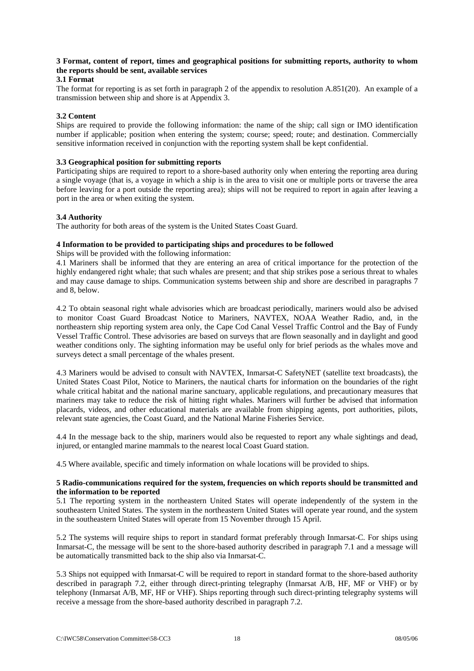## **3 Format, content of report, times and geographical positions for submitting reports, authority to whom the reports should be sent, available services**

## **3.1 Format**

The format for reporting is as set forth in paragraph 2 of the appendix to resolution A.851(20). An example of a transmission between ship and shore is at Appendix 3.

## **3.2 Content**

Ships are required to provide the following information: the name of the ship; call sign or IMO identification number if applicable; position when entering the system; course; speed; route; and destination. Commercially sensitive information received in conjunction with the reporting system shall be kept confidential.

## **3.3 Geographical position for submitting reports**

Participating ships are required to report to a shore-based authority only when entering the reporting area during a single voyage (that is, a voyage in which a ship is in the area to visit one or multiple ports or traverse the area before leaving for a port outside the reporting area); ships will not be required to report in again after leaving a port in the area or when exiting the system.

## **3.4 Authority**

The authority for both areas of the system is the United States Coast Guard.

## **4 Information to be provided to participating ships and procedures to be followed**

Ships will be provided with the following information:

4.1 Mariners shall be informed that they are entering an area of critical importance for the protection of the highly endangered right whale; that such whales are present; and that ship strikes pose a serious threat to whales and may cause damage to ships. Communication systems between ship and shore are described in paragraphs 7 and 8, below.

4.2 To obtain seasonal right whale advisories which are broadcast periodically, mariners would also be advised to monitor Coast Guard Broadcast Notice to Mariners, NAVTEX, NOAA Weather Radio, and, in the northeastern ship reporting system area only, the Cape Cod Canal Vessel Traffic Control and the Bay of Fundy Vessel Traffic Control. These advisories are based on surveys that are flown seasonally and in daylight and good weather conditions only. The sighting information may be useful only for brief periods as the whales move and surveys detect a small percentage of the whales present.

4.3 Mariners would be advised to consult with NAVTEX, Inmarsat-C SafetyNET (satellite text broadcasts), the United States Coast Pilot, Notice to Mariners, the nautical charts for information on the boundaries of the right whale critical habitat and the national marine sanctuary, applicable regulations, and precautionary measures that mariners may take to reduce the risk of hitting right whales. Mariners will further be advised that information placards, videos, and other educational materials are available from shipping agents, port authorities, pilots, relevant state agencies, the Coast Guard, and the National Marine Fisheries Service.

4.4 In the message back to the ship, mariners would also be requested to report any whale sightings and dead, injured, or entangled marine mammals to the nearest local Coast Guard station.

4.5 Where available, specific and timely information on whale locations will be provided to ships.

## **5 Radio-communications required for the system, frequencies on which reports should be transmitted and the information to be reported**

5.1 The reporting system in the northeastern United States will operate independently of the system in the southeastern United States. The system in the northeastern United States will operate year round, and the system in the southeastern United States will operate from 15 November through 15 April.

5.2 The systems will require ships to report in standard format preferably through Inmarsat-C. For ships using Inmarsat-C, the message will be sent to the shore-based authority described in paragraph 7.1 and a message will be automatically transmitted back to the ship also via Inmarsat-C.

5.3 Ships not equipped with Inmarsat-C will be required to report in standard format to the shore-based authority described in paragraph 7.2, either through direct-printing telegraphy (Inmarsat A/B, HF, MF or VHF) or by telephony (Inmarsat A/B, MF, HF or VHF). Ships reporting through such direct-printing telegraphy systems will receive a message from the shore-based authority described in paragraph 7.2.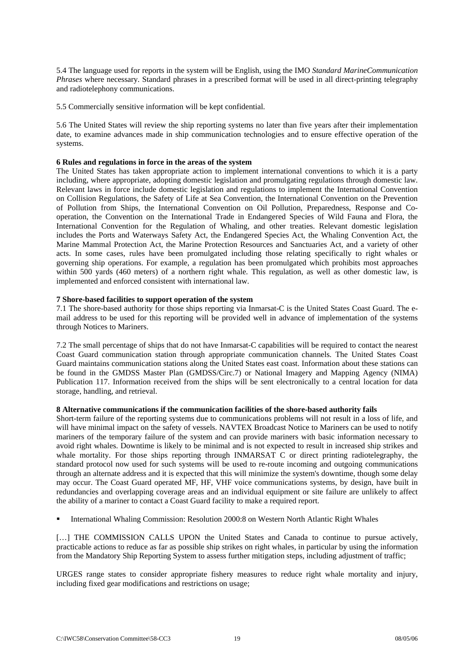5.4 The language used for reports in the system will be English, using the IMO *Standard MarineCommunication Phrases* where necessary. Standard phrases in a prescribed format will be used in all direct-printing telegraphy and radiotelephony communications.

5.5 Commercially sensitive information will be kept confidential.

5.6 The United States will review the ship reporting systems no later than five years after their implementation date, to examine advances made in ship communication technologies and to ensure effective operation of the systems.

## **6 Rules and regulations in force in the areas of the system**

The United States has taken appropriate action to implement international conventions to which it is a party including, where appropriate, adopting domestic legislation and promulgating regulations through domestic law. Relevant laws in force include domestic legislation and regulations to implement the International Convention on Collision Regulations, the Safety of Life at Sea Convention, the International Convention on the Prevention of Pollution from Ships, the International Convention on Oil Pollution, Preparedness, Response and Cooperation, the Convention on the International Trade in Endangered Species of Wild Fauna and Flora, the International Convention for the Regulation of Whaling, and other treaties. Relevant domestic legislation includes the Ports and Waterways Safety Act, the Endangered Species Act, the Whaling Convention Act, the Marine Mammal Protection Act, the Marine Protection Resources and Sanctuaries Act, and a variety of other acts. In some cases, rules have been promulgated including those relating specifically to right whales or governing ship operations. For example, a regulation has been promulgated which prohibits most approaches within 500 yards (460 meters) of a northern right whale. This regulation, as well as other domestic law, is implemented and enforced consistent with international law.

## **7 Shore-based facilities to support operation of the system**

7.1 The shore-based authority for those ships reporting via Inmarsat-C is the United States Coast Guard. The email address to be used for this reporting will be provided well in advance of implementation of the systems through Notices to Mariners.

7.2 The small percentage of ships that do not have Inmarsat-C capabilities will be required to contact the nearest Coast Guard communication station through appropriate communication channels. The United States Coast Guard maintains communication stations along the United States east coast. Information about these stations can be found in the GMDSS Master Plan (GMDSS/Circ.7) or National Imagery and Mapping Agency (NIMA) Publication 117. Information received from the ships will be sent electronically to a central location for data storage, handling, and retrieval.

### **8 Alternative communications if the communication facilities of the shore-based authority fails**

Short-term failure of the reporting systems due to communications problems will not result in a loss of life, and will have minimal impact on the safety of vessels. NAVTEX Broadcast Notice to Mariners can be used to notify mariners of the temporary failure of the system and can provide mariners with basic information necessary to avoid right whales. Downtime is likely to be minimal and is not expected to result in increased ship strikes and whale mortality. For those ships reporting through INMARSAT C or direct printing radiotelegraphy, the standard protocol now used for such systems will be used to re-route incoming and outgoing communications through an alternate address and it is expected that this will minimize the system's downtime, though some delay may occur. The Coast Guard operated MF, HF, VHF voice communications systems, by design, have built in redundancies and overlapping coverage areas and an individual equipment or site failure are unlikely to affect the ability of a mariner to contact a Coast Guard facility to make a required report.

International Whaling Commission: Resolution 2000:8 on Western North Atlantic Right Whales

[...] THE COMMISSION CALLS UPON the United States and Canada to continue to pursue actively, practicable actions to reduce as far as possible ship strikes on right whales, in particular by using the information from the Mandatory Ship Reporting System to assess further mitigation steps, including adjustment of traffic;

URGES range states to consider appropriate fishery measures to reduce right whale mortality and injury, including fixed gear modifications and restrictions on usage;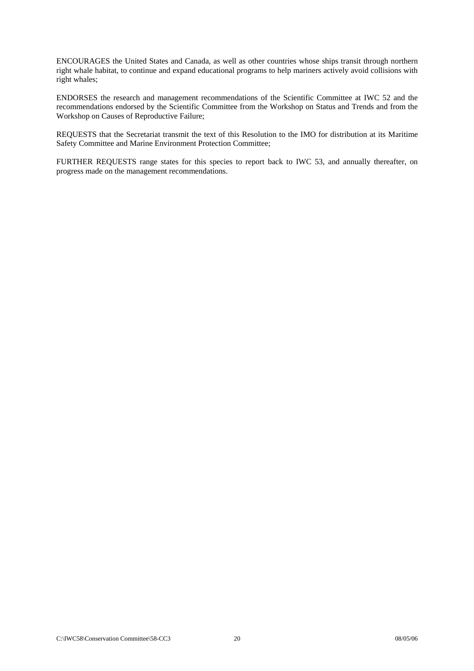ENCOURAGES the United States and Canada, as well as other countries whose ships transit through northern right whale habitat, to continue and expand educational programs to help mariners actively avoid collisions with right whales;

ENDORSES the research and management recommendations of the Scientific Committee at IWC 52 and the recommendations endorsed by the Scientific Committee from the Workshop on Status and Trends and from the Workshop on Causes of Reproductive Failure;

REQUESTS that the Secretariat transmit the text of this Resolution to the IMO for distribution at its Maritime Safety Committee and Marine Environment Protection Committee;

FURTHER REQUESTS range states for this species to report back to IWC 53, and annually thereafter, on progress made on the management recommendations.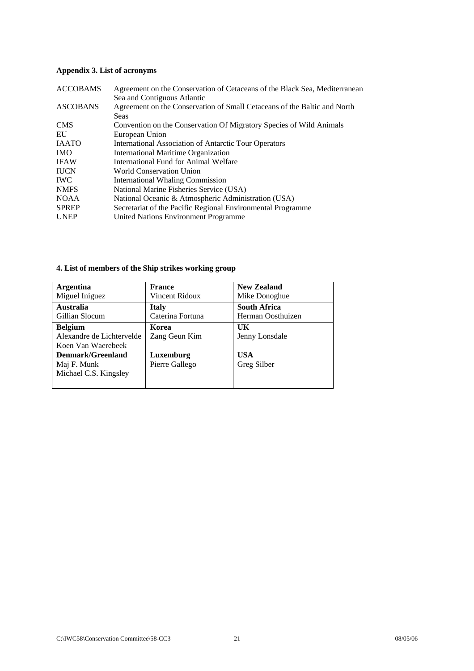## <span id="page-22-0"></span>**Appendix 3. List of acronyms**

| <b>ACCOBAMS</b> | Agreement on the Conservation of Cetaceans of the Black Sea, Mediterranean |
|-----------------|----------------------------------------------------------------------------|
|                 | Sea and Contiguous Atlantic                                                |
| <b>ASCOBANS</b> | Agreement on the Conservation of Small Cetaceans of the Baltic and North   |
|                 | <b>Seas</b>                                                                |
| <b>CMS</b>      | Convention on the Conservation Of Migratory Species of Wild Animals        |
| EU              | European Union                                                             |
| <b>IAATO</b>    | <b>International Association of Antarctic Tour Operators</b>               |
| <b>IMO</b>      | International Maritime Organization                                        |
| <b>IFAW</b>     | International Fund for Animal Welfare                                      |
| <b>IUCN</b>     | World Conservation Union                                                   |
| <b>IWC</b>      | International Whaling Commission                                           |
| <b>NMFS</b>     | National Marine Fisheries Service (USA)                                    |
| <b>NOAA</b>     | National Oceanic & Atmospheric Administration (USA)                        |
| <b>SPREP</b>    | Secretariat of the Pacific Regional Environmental Programme                |
| <b>UNEP</b>     | United Nations Environment Programme                                       |
|                 |                                                                            |

| <b>Argentina</b>          | <b>France</b>    | <b>New Zealand</b>  |
|---------------------------|------------------|---------------------|
| Miguel Iniguez            | Vincent Ridoux   | Mike Donoghue       |
| <b>Australia</b>          | <b>Italy</b>     | <b>South Africa</b> |
| Gillian Slocum            | Caterina Fortuna | Herman Oosthuizen   |
| <b>Belgium</b>            | Korea            | UK                  |
| Alexandre de Lichtervelde | Zang Geun Kim    | Jenny Lonsdale      |
| Koen Van Waerebeek        |                  |                     |
| Denmark/Greenland         | Luxemburg        | <b>USA</b>          |
| Maj F. Munk               | Pierre Gallego   | Greg Silber         |
| Michael C.S. Kingsley     |                  |                     |
|                           |                  |                     |

## **4. List of members of the Ship strikes working group**